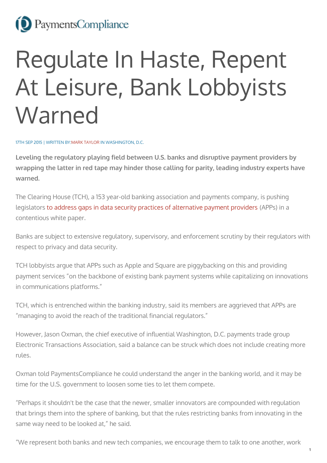## <sup>(2)</sup> PaymentsCompliance

## Regulate In Haste, Repent At Leisure, Bank Lobbyists Warned

17TH SEP 2015 | WRITTEN BY:MARK [TAYLOR](http://paymentscompliance.com/users/marktpaymentscompliancecom) IN WASHINGTON, D.C.

**Leveling the regulatory playing field between U.S. banks and disruptive payment providers by wrapping the latter in red tape may hinder those calling for parity, leading industry experts have warned.**

The Clearing House (TCH), a 153 year-old banking association and payments company, is pushing legislators to address gaps in data security practices of [alternative](https://www.theclearinghouse.org/publications/2015/ensuring-consistent-consumer-protection-for-data-security-white-paper) payment providers (APPs) in a contentious white paper.

Banks are subject to extensive regulatory, supervisory, and enforcement scrutiny by their regulators with respect to privacy and data security.

TCH lobbyists argue that APPs such as Apple and Square are piggybacking on this and providing payment services "on the backbone of existing bank payment systems while capitalizing on innovations in communications platforms."

TCH, which is entrenched within the banking industry, said its members are aggrieved that APPs are "managing to avoid the reach of the traditional financial regulators."

However, Jason Oxman, the chief executive of influential Washington, D.C. payments trade group Electronic Transactions Association, said a balance can be struck which does not include creating more rules.

Oxman told PaymentsCompliance he could understand the anger in the banking world, and it may be time for the U.S. government to loosen some ties to let them compete.

"Perhaps it shouldn't be the case that the newer, smaller innovators are compounded with regulation that brings them into the sphere of banking, but that the rules restricting banks from innovating in the same way need to be looked at," he said.

"We represent both banks and new tech companies, we encourage them to talk to one another, work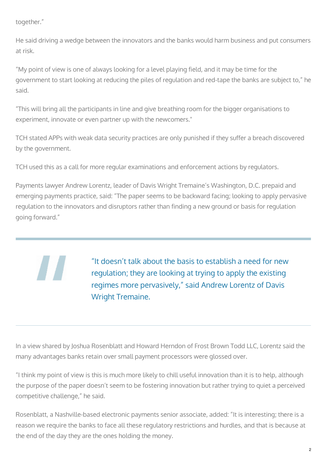together."

He said driving a wedge between the innovators and the banks would harm business and put consumers at risk.

"My point of view is one of always looking for a level playing field, and it may be time for the government to start looking at reducing the piles of regulation and red-tape the banks are subject to," he said.

"This will bring all the participants in line and give breathing room for the bigger organisations to experiment, innovate or even partner up with the newcomers."

TCH stated APPs with weak data security practices are only punished if they suffer a breach discovered by the government.

TCH used this as a call for more regular examinations and enforcement actions by regulators.

Payments lawyer Andrew Lorentz, leader of Davis Wright Tremaine's Washington, D.C. prepaid and emerging payments practice, said: "The paper seems to be backward facing; looking to apply pervasive regulation to the innovators and disruptors rather than finding a new ground or basis for regulation going forward."

"It doesn't talk about the basis to establish a need for new regulation; they are looking at trying to apply the existing regimes more pervasively," said Andrew Lorentz of Davis Wright Tremaine.

In a view shared by Joshua Rosenblatt and Howard Herndon of Frost Brown Todd LLC, Lorentz said the many advantages banks retain over small payment processors were glossed over.

"I think my point of view is this is much more likely to chill useful innovation than it is to help, although the purpose of the paper doesn't seem to be fostering innovation but rather trying to quiet a perceived competitive challenge," he said.

Rosenblatt, a Nashville-based electronic payments senior associate, added: "It is interesting; there is a reason we require the banks to face all these regulatory restrictions and hurdles, and that is because at the end of the day they are the ones holding the money.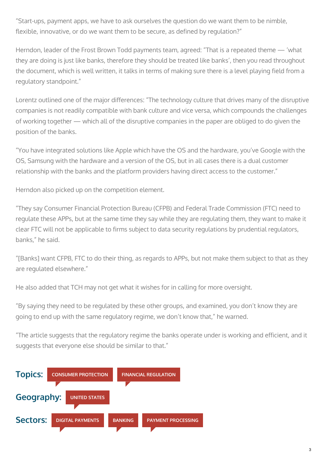"Start-ups, payment apps, we have to ask ourselves the question do we want them to be nimble, flexible, innovative, or do we want them to be secure, as defined by regulation?"

Herndon, leader of the Frost Brown Todd payments team, agreed: "That is a repeated theme — 'what they are doing is just like banks, therefore they should be treated like banks', then you read throughout the document, which is well written, it talks in terms of making sure there is a level playing field from a regulatory standpoint."

Lorentz outlined one of the major differences: "The technology culture that drives many of the disruptive companies is not readily compatible with bank culture and vice versa, which compounds the challenges of working together — which all of the disruptive companies in the paper are obliged to do given the position of the banks.

"You have integrated solutions like Apple which have the OS and the hardware, you've Google with the OS, Samsung with the hardware and a version of the OS, but in all cases there is a dual customer relationship with the banks and the platform providers having direct access to the customer."

Herndon also picked up on the competition element.

"They say Consumer Financial Protection Bureau (CFPB) and Federal Trade Commission (FTC) need to regulate these APPs, but at the same time they say while they are regulating them, they want to make it clear FTC will not be applicable to firms subject to data security regulations by prudential regulators, banks," he said.

"[Banks] want CFPB, FTC to do their thing, as regards to APPs, but not make them subject to that as they are regulated elsewhere."

He also added that TCH may not get what it wishes for in calling for more oversight.

"By saying they need to be regulated by these other groups, and examined, you don't know they are going to end up with the same regulatory regime, we don't know that," he warned.

"The article suggests that the regulatory regime the banks operate under is working and efficient, and it suggests that everyone else should be similar to that."